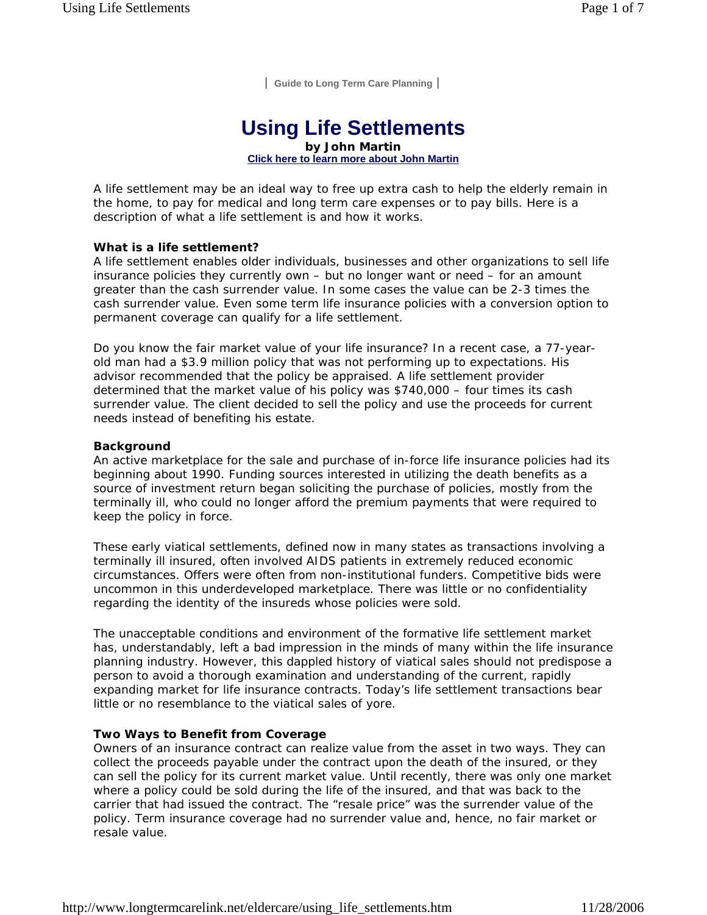**| Guide to Long Term Care Planning |**

# **Using Life Settlements**

**by John Martin Click here to learn more about John Martin**

A life settlement may be an ideal way to free up extra cash to help the elderly remain in the home, to pay for medical and long term care expenses or to pay bills. Here is a description of what a life settlement is and how it works.

#### **What is a life settlement?**

A life settlement enables older individuals, businesses and other organizations to sell life insurance policies they currently own – but no longer want or need – for an amount greater than the cash surrender value. In some cases the value can be 2-3 times the cash surrender value. Even some term life insurance policies with a conversion option to permanent coverage can qualify for a life settlement.

Do you know the fair market value of your life insurance? In a recent case, a 77-yearold man had a \$3.9 million policy that was not performing up to expectations. His advisor recommended that the policy be appraised. A life settlement provider determined that the market value of his policy was \$740,000 – four times its cash surrender value. The client decided to sell the policy and use the proceeds for current needs instead of benefiting his estate.

#### **Background**

An active marketplace for the sale and purchase of in-force life insurance policies had its beginning about 1990. Funding sources interested in utilizing the death benefits as a source of investment return began soliciting the purchase of policies, mostly from the terminally ill, who could no longer afford the premium payments that were required to keep the policy in force.

These early viatical settlements, defined now in many states as transactions involving a terminally ill insured, often involved AIDS patients in extremely reduced economic circumstances. Offers were often from non-institutional funders. Competitive bids were uncommon in this underdeveloped marketplace. There was little or no confidentiality regarding the identity of the insureds whose policies were sold.

The unacceptable conditions and environment of the formative life settlement market has, understandably, left a bad impression in the minds of many within the life insurance planning industry. However, this dappled history of viatical sales should not predispose a person to avoid a thorough examination and understanding of the current, rapidly expanding market for life insurance contracts. Today's life settlement transactions bear little or no resemblance to the viatical sales of yore.

## **Two Ways to Benefit from Coverage**

Owners of an insurance contract can realize value from the asset in two ways. They can collect the proceeds payable under the contract upon the death of the insured, or they can sell the policy for its current market value. Until recently, there was only one market where a policy could be sold during the life of the insured, and that was back to the carrier that had issued the contract. The "resale price" was the surrender value of the policy. Term insurance coverage had no surrender value and, hence, no fair market or resale value.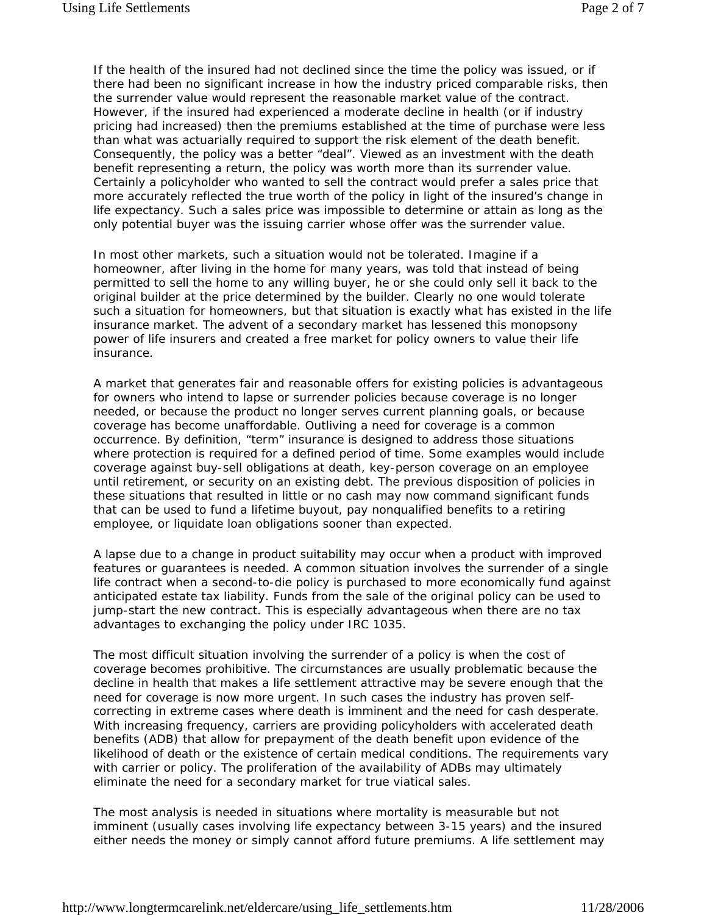If the health of the insured had not declined since the time the policy was issued, or if there had been no significant increase in how the industry priced comparable risks, then the surrender value would represent the reasonable market value of the contract. However, if the insured had experienced a moderate decline in health (or if industry pricing had increased) then the premiums established at the time of purchase were less than what was actuarially required to support the risk element of the death benefit. Consequently, the policy was a better "deal". Viewed as an investment with the death benefit representing a return, the policy was worth more than its surrender value. Certainly a policyholder who wanted to sell the contract would prefer a sales price that more accurately reflected the true worth of the policy in light of the insured's change in life expectancy. Such a sales price was impossible to determine or attain as long as the only potential buyer was the issuing carrier whose offer was the surrender value.

In most other markets, such a situation would not be tolerated. Imagine if a homeowner, after living in the home for many years, was told that instead of being permitted to sell the home to any willing buyer, he or she could only sell it back to the original builder at the price determined by the builder. Clearly no one would tolerate such a situation for homeowners, but that situation is exactly what has existed in the life insurance market. The advent of a secondary market has lessened this monopsony power of life insurers and created a free market for policy owners to value their life insurance.

A market that generates fair and reasonable offers for existing policies is advantageous for owners who intend to lapse or surrender policies because coverage is no longer needed, or because the product no longer serves current planning goals, or because coverage has become unaffordable. Outliving a need for coverage is a common occurrence. By definition, "term" insurance is designed to address those situations where protection is required for a defined period of time. Some examples would include coverage against buy-sell obligations at death, key-person coverage on an employee until retirement, or security on an existing debt. The previous disposition of policies in these situations that resulted in little or no cash may now command significant funds that can be used to fund a lifetime buyout, pay nonqualified benefits to a retiring employee, or liquidate loan obligations sooner than expected.

A lapse due to a change in product suitability may occur when a product with improved features or guarantees is needed. A common situation involves the surrender of a single life contract when a second-to-die policy is purchased to more economically fund against anticipated estate tax liability. Funds from the sale of the original policy can be used to jump-start the new contract. This is especially advantageous when there are no tax advantages to exchanging the policy under IRC 1035.

The most difficult situation involving the surrender of a policy is when the cost of coverage becomes prohibitive. The circumstances are usually problematic because the decline in health that makes a life settlement attractive may be severe enough that the need for coverage is now more urgent. In such cases the industry has proven selfcorrecting in extreme cases where death is imminent and the need for cash desperate. With increasing frequency, carriers are providing policyholders with accelerated death benefits (ADB) that allow for prepayment of the death benefit upon evidence of the likelihood of death or the existence of certain medical conditions. The requirements vary with carrier or policy. The proliferation of the availability of ADBs may ultimately eliminate the need for a secondary market for true viatical sales.

The most analysis is needed in situations where mortality is measurable but not imminent (usually cases involving life expectancy between 3-15 years) and the insured either needs the money or simply cannot afford future premiums. A life settlement may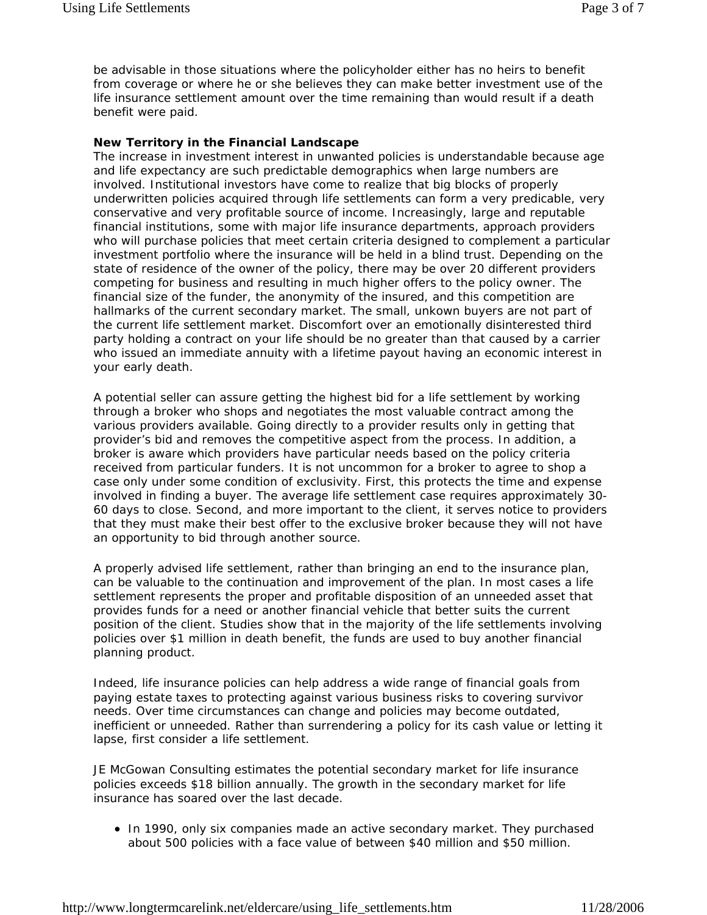be advisable in those situations where the policyholder either has no heirs to benefit from coverage or where he or she believes they can make better investment use of the life insurance settlement amount over the time remaining than would result if a death benefit were paid.

#### **New Territory in the Financial Landscape**

The increase in investment interest in unwanted policies is understandable because age and life expectancy are such predictable demographics when large numbers are involved. Institutional investors have come to realize that big blocks of properly underwritten policies acquired through life settlements can form a very predicable, very conservative and very profitable source of income. Increasingly, large and reputable financial institutions, some with major life insurance departments, approach providers who will purchase policies that meet certain criteria designed to complement a particular investment portfolio where the insurance will be held in a blind trust. Depending on the state of residence of the owner of the policy, there may be over 20 different providers competing for business and resulting in much higher offers to the policy owner. The financial size of the funder, the anonymity of the insured, and this competition are hallmarks of the current secondary market. The small, unkown buyers are not part of the current life settlement market. Discomfort over an emotionally disinterested third party holding a contract on your life should be no greater than that caused by a carrier who issued an immediate annuity with a lifetime payout having an economic interest in your early death.

A potential seller can assure getting the highest bid for a life settlement by working through a broker who shops and negotiates the most valuable contract among the various providers available. Going directly to a provider results only in getting that provider's bid and removes the competitive aspect from the process. In addition, a broker is aware which providers have particular needs based on the policy criteria received from particular funders. It is not uncommon for a broker to agree to shop a case only under some condition of exclusivity. First, this protects the time and expense involved in finding a buyer. The average life settlement case requires approximately 30- 60 days to close. Second, and more important to the client, it serves notice to providers that they must make their best offer to the exclusive broker because they will not have an opportunity to bid through another source.

A properly advised life settlement, rather than bringing an end to the insurance plan, can be valuable to the continuation and improvement of the plan. In most cases a life settlement represents the proper and profitable disposition of an unneeded asset that provides funds for a need or another financial vehicle that better suits the current position of the client. Studies show that in the majority of the life settlements involving policies over \$1 million in death benefit, the funds are used to buy another financial planning product.

Indeed, life insurance policies can help address a wide range of financial goals from paying estate taxes to protecting against various business risks to covering survivor needs. Over time circumstances can change and policies may become outdated, inefficient or unneeded. Rather than surrendering a policy for its cash value or letting it lapse, first consider a life settlement.

JE McGowan Consulting estimates the potential secondary market for life insurance policies exceeds \$18 billion annually. The growth in the secondary market for life insurance has soared over the last decade.

• In 1990, only six companies made an active secondary market. They purchased about 500 policies with a face value of between \$40 million and \$50 million.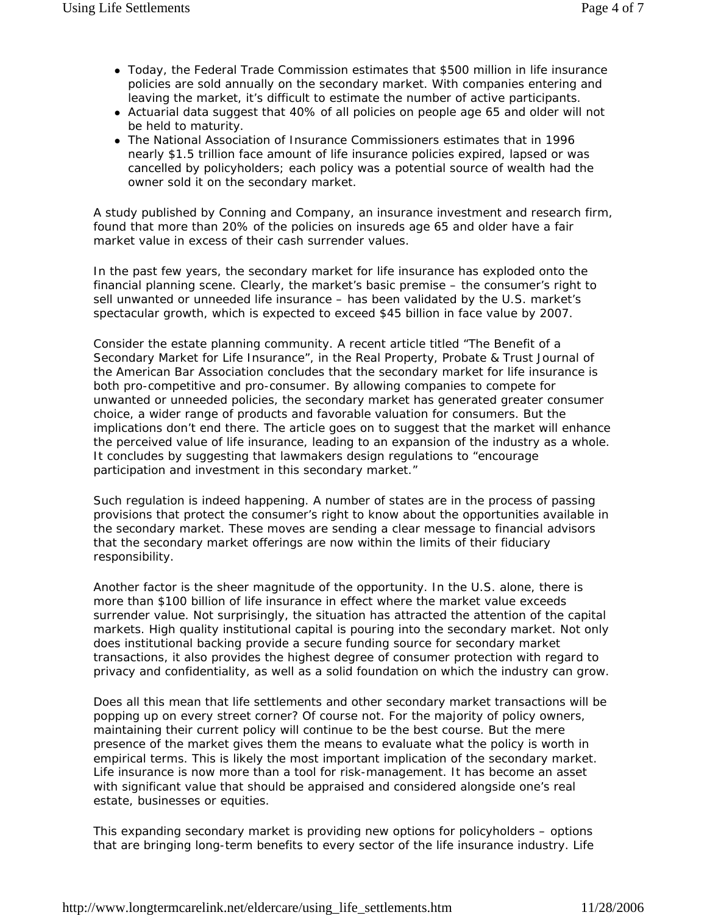- Today, the Federal Trade Commission estimates that \$500 million in life insurance policies are sold annually on the secondary market. With companies entering and leaving the market, it's difficult to estimate the number of active participants.
- Actuarial data suggest that 40% of all policies on people age 65 and older will not be held to maturity.
- The National Association of Insurance Commissioners estimates that in 1996 nearly \$1.5 trillion face amount of life insurance policies expired, lapsed or was cancelled by policyholders; each policy was a potential source of wealth had the owner sold it on the secondary market.

A study published by Conning and Company, an insurance investment and research firm, found that more than 20% of the policies on insureds age 65 and older have a fair market value in excess of their cash surrender values.

In the past few years, the secondary market for life insurance has exploded onto the financial planning scene. Clearly, the market's basic premise – the consumer's right to sell unwanted or unneeded life insurance – has been validated by the U.S. market's spectacular growth, which is expected to exceed \$45 billion in face value by 2007.

Consider the estate planning community. A recent article titled "The Benefit of a Secondary Market for Life Insurance", in the Real Property, Probate & Trust Journal of the American Bar Association concludes that the secondary market for life insurance is both pro-competitive and pro-consumer. By allowing companies to compete for unwanted or unneeded policies, the secondary market has generated greater consumer choice, a wider range of products and favorable valuation for consumers. But the implications don't end there. The article goes on to suggest that the market will enhance the perceived value of life insurance, leading to an expansion of the industry as a whole. It concludes by suggesting that lawmakers design regulations to "encourage participation and investment in this secondary market."

Such regulation is indeed happening. A number of states are in the process of passing provisions that protect the consumer's right to know about the opportunities available in the secondary market. These moves are sending a clear message to financial advisors that the secondary market offerings are now within the limits of their fiduciary responsibility.

Another factor is the sheer magnitude of the opportunity. In the U.S. alone, there is more than \$100 billion of life insurance in effect where the market value exceeds surrender value. Not surprisingly, the situation has attracted the attention of the capital markets. High quality institutional capital is pouring into the secondary market. Not only does institutional backing provide a secure funding source for secondary market transactions, it also provides the highest degree of consumer protection with regard to privacy and confidentiality, as well as a solid foundation on which the industry can grow.

Does all this mean that life settlements and other secondary market transactions will be popping up on every street corner? Of course not. For the majority of policy owners, maintaining their current policy will continue to be the best course. But the mere presence of the market gives them the means to evaluate what the policy is worth in empirical terms. This is likely the most important implication of the secondary market. Life insurance is now more than a tool for risk-management. It has become an asset with significant value that should be appraised and considered alongside one's real estate, businesses or equities.

This expanding secondary market is providing new options for policyholders – options that are bringing long-term benefits to every sector of the life insurance industry. Life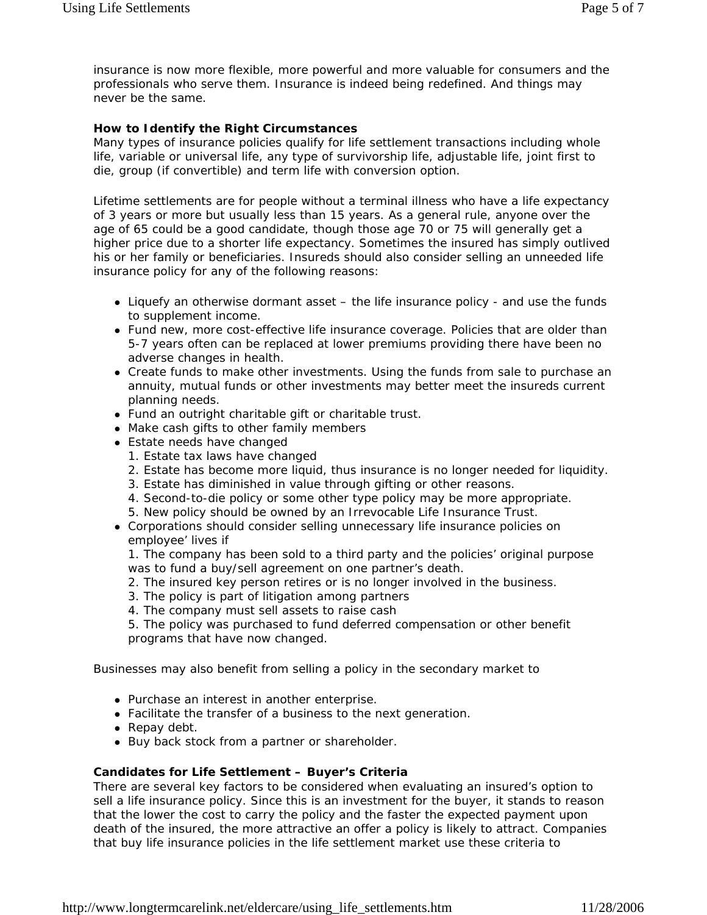insurance is now more flexible, more powerful and more valuable for consumers and the professionals who serve them. Insurance is indeed being redefined. And things may never be the same.

#### **How to Identify the Right Circumstances**

Many types of insurance policies qualify for life settlement transactions including whole life, variable or universal life, any type of survivorship life, adjustable life, joint first to die, group (if convertible) and term life with conversion option.

Lifetime settlements are for people without a terminal illness who have a life expectancy of 3 years or more but usually less than 15 years. As a general rule, anyone over the age of 65 could be a good candidate, though those age 70 or 75 will generally get a higher price due to a shorter life expectancy. Sometimes the insured has simply outlived his or her family or beneficiaries. Insureds should also consider selling an unneeded life insurance policy for any of the following reasons:

- Liquefy an otherwise dormant asset the life insurance policy and use the funds to supplement income.
- Fund new, more cost-effective life insurance coverage. Policies that are older than 5-7 years often can be replaced at lower premiums providing there have been no adverse changes in health.
- Create funds to make other investments. Using the funds from sale to purchase an annuity, mutual funds or other investments may better meet the insureds current planning needs.
- Fund an outright charitable gift or charitable trust.
- Make cash gifts to other family members
- Estate needs have changed
	- 1. Estate tax laws have changed
	- 2. Estate has become more liquid, thus insurance is no longer needed for liquidity.
	- 3. Estate has diminished in value through gifting or other reasons.
	- 4. Second-to-die policy or some other type policy may be more appropriate.
	- 5. New policy should be owned by an Irrevocable Life Insurance Trust.
- Corporations should consider selling unnecessary life insurance policies on employee' lives if

1. The company has been sold to a third party and the policies' original purpose was to fund a buy/sell agreement on one partner's death.

- 2. The insured key person retires or is no longer involved in the business.
- 3. The policy is part of litigation among partners
- 4. The company must sell assets to raise cash

5. The policy was purchased to fund deferred compensation or other benefit programs that have now changed.

Businesses may also benefit from selling a policy in the secondary market to

- Purchase an interest in another enterprise.
- Facilitate the transfer of a business to the next generation.
- $\bullet$  Repay debt.
- Buy back stock from a partner or shareholder.

#### **Candidates for Life Settlement – Buyer's Criteria**

There are several key factors to be considered when evaluating an insured's option to sell a life insurance policy. Since this is an investment for the buyer, it stands to reason that the lower the cost to carry the policy and the faster the expected payment upon death of the insured, the more attractive an offer a policy is likely to attract. Companies that buy life insurance policies in the life settlement market use these criteria to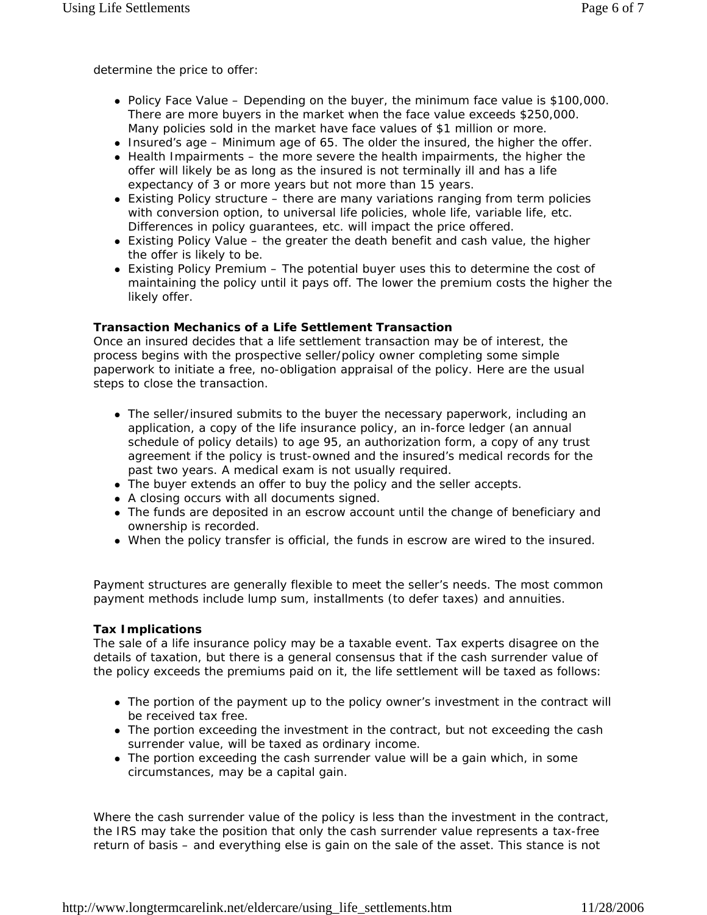determine the price to offer:

- Policy Face Value Depending on the buyer, the minimum face value is \$100,000. There are more buyers in the market when the face value exceeds \$250,000. Many policies sold in the market have face values of \$1 million or more.
- $\bullet$  Insured's age Minimum age of 65. The older the insured, the higher the offer.
- $\bullet$  Health Impairments the more severe the health impairments, the higher the offer will likely be as long as the insured is not terminally ill and has a life expectancy of 3 or more years but not more than 15 years.
- Existing Policy structure there are many variations ranging from term policies with conversion option, to universal life policies, whole life, variable life, etc. Differences in policy guarantees, etc. will impact the price offered.
- $\bullet$  Existing Policy Value the greater the death benefit and cash value, the higher the offer is likely to be.
- $\bullet$  Existing Policy Premium The potential buyer uses this to determine the cost of maintaining the policy until it pays off. The lower the premium costs the higher the likely offer.

## **Transaction Mechanics of a Life Settlement Transaction**

Once an insured decides that a life settlement transaction may be of interest, the process begins with the prospective seller/policy owner completing some simple paperwork to initiate a free, no-obligation appraisal of the policy. Here are the usual steps to close the transaction.

- The seller/insured submits to the buyer the necessary paperwork, including an application, a copy of the life insurance policy, an in-force ledger (an annual schedule of policy details) to age 95, an authorization form, a copy of any trust agreement if the policy is trust-owned and the insured's medical records for the past two years. A medical exam is not usually required.
- The buyer extends an offer to buy the policy and the seller accepts.
- A closing occurs with all documents signed.
- The funds are deposited in an escrow account until the change of beneficiary and ownership is recorded.
- When the policy transfer is official, the funds in escrow are wired to the insured.

Payment structures are generally flexible to meet the seller's needs. The most common payment methods include lump sum, installments (to defer taxes) and annuities.

## **Tax Implications**

The sale of a life insurance policy may be a taxable event. Tax experts disagree on the details of taxation, but there is a general consensus that if the cash surrender value of the policy exceeds the premiums paid on it, the life settlement will be taxed as follows:

- The portion of the payment up to the policy owner's investment in the contract will be received tax free.
- The portion exceeding the investment in the contract, but not exceeding the cash surrender value, will be taxed as ordinary income.
- The portion exceeding the cash surrender value will be a gain which, in some circumstances, may be a capital gain.

Where the cash surrender value of the policy is less than the investment in the contract, the IRS may take the position that only the cash surrender value represents a tax-free return of basis – and everything else is gain on the sale of the asset. This stance is not